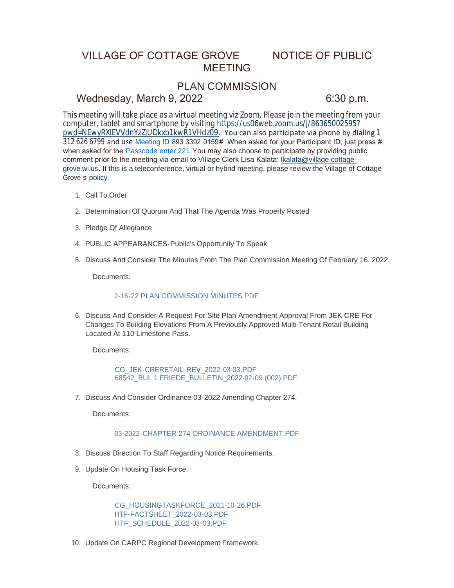# VILLAGE OF COTTAGE GROVE NOTICE OF PUBLIC MEETING

# PLAN COMMISSION

### Wednesday, March 9, 2022 6:30 p.m.

This meeting will take place as a virtual meeting viz Zoom. Please join the meeting from your computer, tablet and smartphone by visiting https://us06web.zoom.us/j/86365002595? pwd=NEwyRXlEVVdnYzZjUDkxb1kwR1VHdz09[. You can also participate via phone by dialing](https://us06web.zoom.us/j/86365002595?pwd=NEwyRXlEVVdnYzZjUDkxb1kwR1VHdz09) 1 312 626 6799 and use Meeting ID 893 3392 0159# When asked for your Participant ID, just press #, when asked for the Passcode enter 221.You may also choose to participate by providing public comment prior to the meeting via email to Village Clerk Lisa Kalata: Ikalata@village.cottagegrove.wi.us. If this is a teleconference, virtual or hybrid meeting, plea[se review the Village of Cottage](mailto:lkalata@village.cottage-grove.wi.us)  Grove's [policy.](https://www.vi.cottagegrove.wi.gov/DocumentCenter/View/1850/Virtual-Hybrid-Tele-meeting-Policy-Final)

- 1. Call To Order
- 2. Determination Of Quorum And That The Agenda Was Properly Posted
- 3. Pledge Of Allegiance
- PUBLIC APPEARANCES-Public's Opportunity To Speak 4.
- 5. Discuss And Consider The Minutes From The Plan Commission Meeting Of February 16, 2022.

Documents:

### 2-16-22 PLAN COMMISSION MINUTES PDF

6. Discuss And Consider A Request For Site Plan Amendment Approval From JEK CRE For Changes To Building Elevations From A Previously Approved Multi-Tenant Retail Building Located At 110 Limestone Pass.

Documents:

[CG\\_JEK-CRERETAIL-REV\\_2022-03-03.PDF](https://www.vi.cottagegrove.wi.gov/AgendaCenter/ViewFile/Item/9690?fileID=19232) [68542\\_BUL 1 FRIEDE\\_BULLETIN\\_2022-02-09 \(002\).PDF](https://www.vi.cottagegrove.wi.gov/AgendaCenter/ViewFile/Item/9690?fileID=19233)

7. Discuss And Consider Ordinance 03-2022 Amending Chapter 274.

Documents:

### [03-2022-CHAPTER 274 ORDINANCE AMENDMENT.PDF](https://www.vi.cottagegrove.wi.gov/AgendaCenter/ViewFile/Item/9698?fileID=19246)

- 8. Discuss Direction To Staff Regarding Notice Requirements.
- 9. Update On Housing Task Force.

Documents:

[CG\\_HOUSINGTASKFORCE\\_2021-10-26.PDF](https://www.vi.cottagegrove.wi.gov/AgendaCenter/ViewFile/Item/9692?fileID=19234) [HTF-FACTSHEET\\_2022-03-03.PDF](https://www.vi.cottagegrove.wi.gov/AgendaCenter/ViewFile/Item/9692?fileID=19235) [HTF\\_SCHEDULE\\_2022-03-03.PDF](https://www.vi.cottagegrove.wi.gov/AgendaCenter/ViewFile/Item/9692?fileID=19236)

10. Update On CARPC Regional Development Framework.